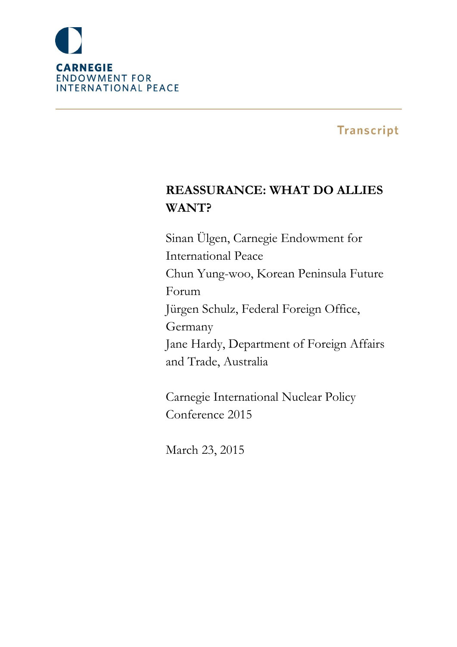

# **Transcript**

# **REASSURANCE: WHAT DO ALLIES WANT?**

Sinan Ülgen, Carnegie Endowment for International Peace Chun Yung-woo, Korean Peninsula Future Forum Jürgen Schulz, Federal Foreign Office, Germany Jane Hardy, Department of Foreign Affairs and Trade, Australia

Carnegie International Nuclear Policy Conference 2015

March 23, 2015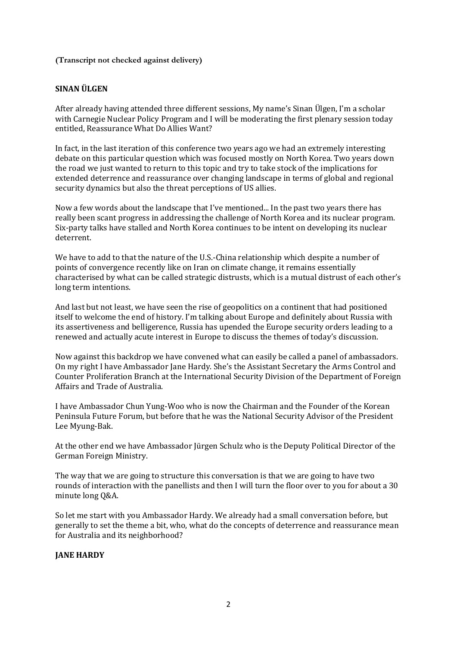**(Transcript not checked against delivery)**

## **SINAN ÜLGEN**

After already having attended three different sessions, My name's Sinan Ülgen, I'm a scholar with Carnegie Nuclear Policy Program and I will be moderating the first plenary session today entitled, Reassurance What Do Allies Want?

In fact, in the last iteration of this conference two years ago we had an extremely interesting debate on this particular question which was focused mostly on North Korea. Two years down the road we just wanted to return to this topic and try to take stock of the implications for extended deterrence and reassurance over changing landscape in terms of global and regional security dynamics but also the threat perceptions of US allies.

Now a few words about the landscape that I've mentioned... In the past two years there has really been scant progress in addressing the challenge of North Korea and its nuclear program. Six-party talks have stalled and North Korea continues to be intent on developing its nuclear deterrent.

We have to add to that the nature of the U.S.-China relationship which despite a number of points of convergence recently like on Iran on climate change, it remains essentially characterised by what can be called strategic distrusts, which is a mutual distrust of each other's long term intentions.

And last but not least, we have seen the rise of geopolitics on a continent that had positioned itself to welcome the end of history. I'm talking about Europe and definitely about Russia with its assertiveness and belligerence, Russia has upended the Europe security orders leading to a renewed and actually acute interest in Europe to discuss the themes of today's discussion.

Now against this backdrop we have convened what can easily be called a panel of ambassadors. On my right I have Ambassador Jane Hardy. She's the Assistant Secretary the Arms Control and Counter Proliferation Branch at the International Security Division of the Department of Foreign Affairs and Trade of Australia.

I have Ambassador Chun Yung-Woo who is now the Chairman and the Founder of the Korean Peninsula Future Forum, but before that he was the National Security Advisor of the President Lee Myung-Bak.

At the other end we have Ambassador Jürgen Schulz who is the Deputy Political Director of the German Foreign Ministry.

The way that we are going to structure this conversation is that we are going to have two rounds of interaction with the panellists and then I will turn the floor over to you for about a 30 minute long Q&A.

So let me start with you Ambassador Hardy. We already had a small conversation before, but generally to set the theme a bit, who, what do the concepts of deterrence and reassurance mean for Australia and its neighborhood?

#### **JANE HARDY**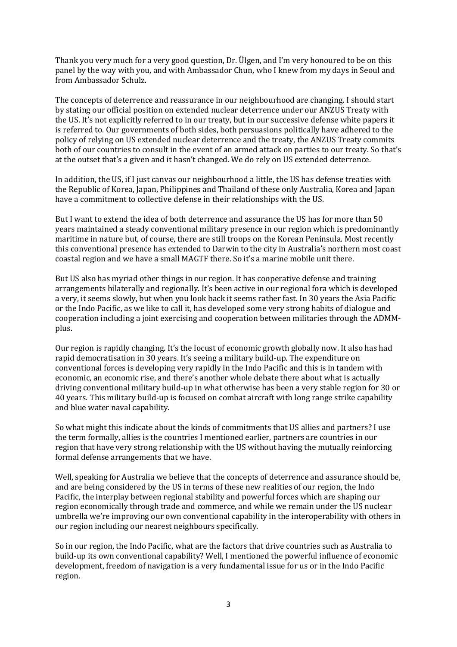Thank you very much for a very good question, Dr. Ülgen, and I'm very honoured to be on this panel by the way with you, and with Ambassador Chun, who I knew from my days in Seoul and from Ambassador Schulz.

The concepts of deterrence and reassurance in our neighbourhood are changing. I should start by stating our official position on extended nuclear deterrence under our ANZUS Treaty with the US. It's not explicitly referred to in our treaty, but in our successive defense white papers it is referred to. Our governments of both sides, both persuasions politically have adhered to the policy of relying on US extended nuclear deterrence and the treaty, the ANZUS Treaty commits both of our countries to consult in the event of an armed attack on parties to our treaty. So that's at the outset that's a given and it hasn't changed. We do rely on US extended deterrence.

In addition, the US, if I just canvas our neighbourhood a little, the US has defense treaties with the Republic of Korea, Japan, Philippines and Thailand of these only Australia, Korea and Japan have a commitment to collective defense in their relationships with the US.

But I want to extend the idea of both deterrence and assurance the US has for more than 50 years maintained a steady conventional military presence in our region which is predominantly maritime in nature but, of course, there are still troops on the Korean Peninsula. Most recently this conventional presence has extended to Darwin to the city in Australia's northern most coast coastal region and we have a small MAGTF there. So it's a marine mobile unit there.

But US also has myriad other things in our region. It has cooperative defense and training arrangements bilaterally and regionally. It's been active in our regional fora which is developed a very, it seems slowly, but when you look back it seems rather fast. In 30 years the Asia Pacific or the Indo Pacific, as we like to call it, has developed some very strong habits of dialogue and cooperation including a joint exercising and cooperation between militaries through the ADMMplus.

Our region is rapidly changing. It's the locust of economic growth globally now. It also has had rapid democratisation in 30 years. It's seeing a military build-up. The expenditure on conventional forces is developing very rapidly in the Indo Pacific and this is in tandem with economic, an economic rise, and there's another whole debate there about what is actually driving conventional military build-up in what otherwise has been a very stable region for 30 or 40 years. This military build-up is focused on combat aircraft with long range strike capability and blue water naval capability.

So what might this indicate about the kinds of commitments that US allies and partners? I use the term formally, allies is the countries I mentioned earlier, partners are countries in our region that have very strong relationship with the US without having the mutually reinforcing formal defense arrangements that we have.

Well, speaking for Australia we believe that the concepts of deterrence and assurance should be, and are being considered by the US in terms of these new realities of our region, the Indo Pacific, the interplay between regional stability and powerful forces which are shaping our region economically through trade and commerce, and while we remain under the US nuclear umbrella we're improving our own conventional capability in the interoperability with others in our region including our nearest neighbours specifically.

So in our region, the Indo Pacific, what are the factors that drive countries such as Australia to build-up its own conventional capability? Well, I mentioned the powerful influence of economic development, freedom of navigation is a very fundamental issue for us or in the Indo Pacific region.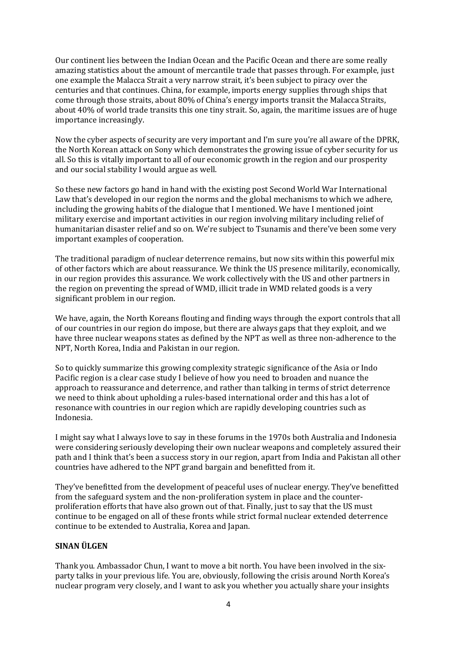Our continent lies between the Indian Ocean and the Pacific Ocean and there are some really amazing statistics about the amount of mercantile trade that passes through. For example, just one example the Malacca Strait a very narrow strait, it's been subject to piracy over the centuries and that continues. China, for example, imports energy supplies through ships that come through those straits, about 80% of China's energy imports transit the Malacca Straits, about 40% of world trade transits this one tiny strait. So, again, the maritime issues are of huge importance increasingly.

Now the cyber aspects of security are very important and I'm sure you're all aware of the DPRK, the North Korean attack on Sony which demonstrates the growing issue of cyber security for us all. So this is vitally important to all of our economic growth in the region and our prosperity and our social stability I would argue as well.

So these new factors go hand in hand with the existing post Second World War International Law that's developed in our region the norms and the global mechanisms to which we adhere, including the growing habits of the dialogue that I mentioned. We have I mentioned joint military exercise and important activities in our region involving military including relief of humanitarian disaster relief and so on. We're subject to Tsunamis and there've been some very important examples of cooperation.

The traditional paradigm of nuclear deterrence remains, but now sits within this powerful mix of other factors which are about reassurance. We think the US presence militarily, economically, in our region provides this assurance. We work collectively with the US and other partners in the region on preventing the spread of WMD, illicit trade in WMD related goods is a very significant problem in our region.

We have, again, the North Koreans flouting and finding ways through the export controls that all of our countries in our region do impose, but there are always gaps that they exploit, and we have three nuclear weapons states as defined by the NPT as well as three non-adherence to the NPT, North Korea, India and Pakistan in our region.

So to quickly summarize this growing complexity strategic significance of the Asia or Indo Pacific region is a clear case study I believe of how you need to broaden and nuance the approach to reassurance and deterrence, and rather than talking in terms of strict deterrence we need to think about upholding a rules-based international order and this has a lot of resonance with countries in our region which are rapidly developing countries such as Indonesia.

I might say what I always love to say in these forums in the 1970s both Australia and Indonesia were considering seriously developing their own nuclear weapons and completely assured their path and I think that's been a success story in our region, apart from India and Pakistan all other countries have adhered to the NPT grand bargain and benefitted from it.

They've benefitted from the development of peaceful uses of nuclear energy. They've benefitted from the safeguard system and the non-proliferation system in place and the counterproliferation efforts that have also grown out of that. Finally, just to say that the US must continue to be engaged on all of these fronts while strict formal nuclear extended deterrence continue to be extended to Australia, Korea and Japan.

## **SINAN ÜLGEN**

Thank you. Ambassador Chun, I want to move a bit north. You have been involved in the sixparty talks in your previous life. You are, obviously, following the crisis around North Korea's nuclear program very closely, and I want to ask you whether you actually share your insights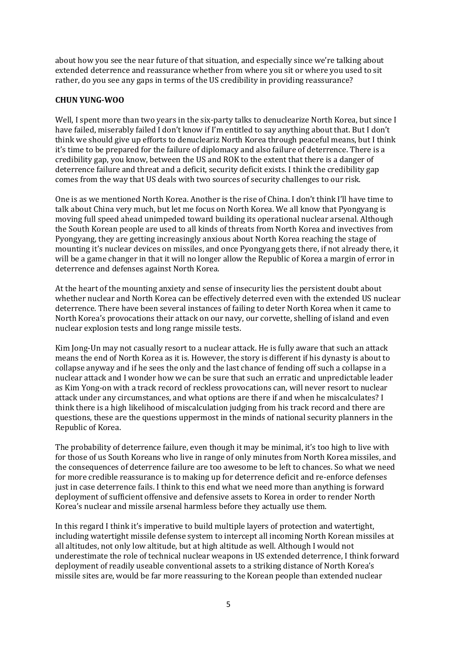about how you see the near future of that situation, and especially since we're talking about extended deterrence and reassurance whether from where you sit or where you used to sit rather, do you see any gaps in terms of the US credibility in providing reassurance?

#### **CHUN YUNG-WOO**

Well, I spent more than two years in the six-party talks to denuclearize North Korea, but since I have failed, miserably failed I don't know if I'm entitled to say anything about that. But I don't think we should give up efforts to denucleariz North Korea through peaceful means, but I think it's time to be prepared for the failure of diplomacy and also failure of deterrence. There is a credibility gap, you know, between the US and ROK to the extent that there is a danger of deterrence failure and threat and a deficit, security deficit exists. I think the credibility gap comes from the way that US deals with two sources of security challenges to our risk.

One is as we mentioned North Korea. Another is the rise of China. I don't think I'll have time to talk about China very much, but let me focus on North Korea. We all know that Pyongyang is moving full speed ahead unimpeded toward building its operational nuclear arsenal. Although the South Korean people are used to all kinds of threats from North Korea and invectives from Pyongyang, they are getting increasingly anxious about North Korea reaching the stage of mounting it's nuclear devices on missiles, and once Pyongyang gets there, if not already there, it will be a game changer in that it will no longer allow the Republic of Korea a margin of error in deterrence and defenses against North Korea.

At the heart of the mounting anxiety and sense of insecurity lies the persistent doubt about whether nuclear and North Korea can be effectively deterred even with the extended US nuclear deterrence. There have been several instances of failing to deter North Korea when it came to North Korea's provocations their attack on our navy, our corvette, shelling of island and even nuclear explosion tests and long range missile tests.

Kim Jong-Un may not casually resort to a nuclear attack. He is fully aware that such an attack means the end of North Korea as it is. However, the story is different if his dynasty is about to collapse anyway and if he sees the only and the last chance of fending off such a collapse in a nuclear attack and I wonder how we can be sure that such an erratic and unpredictable leader as Kim Yong-on with a track record of reckless provocations can, will never resort to nuclear attack under any circumstances, and what options are there if and when he miscalculates? I think there is a high likelihood of miscalculation judging from his track record and there are questions, these are the questions uppermost in the minds of national security planners in the Republic of Korea.

The probability of deterrence failure, even though it may be minimal, it's too high to live with for those of us South Koreans who live in range of only minutes from North Korea missiles, and the consequences of deterrence failure are too awesome to be left to chances. So what we need for more credible reassurance is to making up for deterrence deficit and re-enforce defenses just in case deterrence fails. I think to this end what we need more than anything is forward deployment of sufficient offensive and defensive assets to Korea in order to render North Korea's nuclear and missile arsenal harmless before they actually use them.

In this regard I think it's imperative to build multiple layers of protection and watertight, including watertight missile defense system to intercept all incoming North Korean missiles at all altitudes, not only low altitude, but at high altitude as well. Although I would not underestimate the role of technical nuclear weapons in US extended deterrence, I think forward deployment of readily useable conventional assets to a striking distance of North Korea's missile sites are, would be far more reassuring to the Korean people than extended nuclear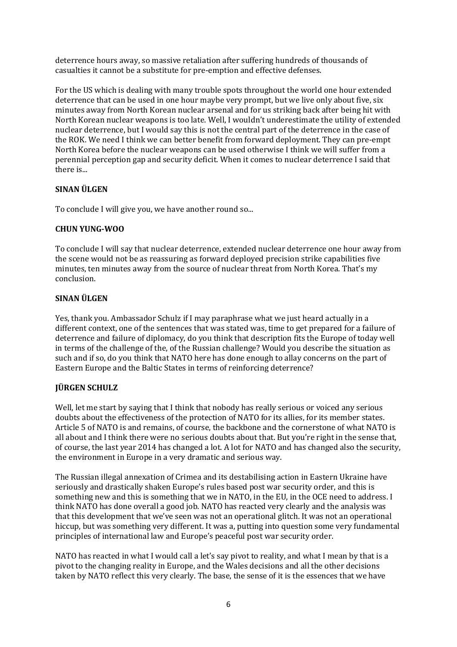deterrence hours away, so massive retaliation after suffering hundreds of thousands of casualties it cannot be a substitute for pre-emption and effective defenses.

For the US which is dealing with many trouble spots throughout the world one hour extended deterrence that can be used in one hour maybe very prompt, but we live only about five, six minutes away from North Korean nuclear arsenal and for us striking back after being hit with North Korean nuclear weapons is too late. Well, I wouldn't underestimate the utility of extended nuclear deterrence, but I would say this is not the central part of the deterrence in the case of the ROK. We need I think we can better benefit from forward deployment. They can pre-empt North Korea before the nuclear weapons can be used otherwise I think we will suffer from a perennial perception gap and security deficit. When it comes to nuclear deterrence I said that there is...

# **SINAN ÜLGEN**

To conclude I will give you, we have another round so...

# **CHUN YUNG-WOO**

To conclude I will say that nuclear deterrence, extended nuclear deterrence one hour away from the scene would not be as reassuring as forward deployed precision strike capabilities five minutes, ten minutes away from the source of nuclear threat from North Korea. That's my conclusion.

# **SINAN ÜLGEN**

Yes, thank you. Ambassador Schulz if I may paraphrase what we just heard actually in a different context, one of the sentences that was stated was, time to get prepared for a failure of deterrence and failure of diplomacy, do you think that description fits the Europe of today well in terms of the challenge of the, of the Russian challenge? Would you describe the situation as such and if so, do you think that NATO here has done enough to allay concerns on the part of Eastern Europe and the Baltic States in terms of reinforcing deterrence?

# **JÜRGEN SCHULZ**

Well, let me start by saying that I think that nobody has really serious or voiced any serious doubts about the effectiveness of the protection of NATO for its allies, for its member states. Article 5 of NATO is and remains, of course, the backbone and the cornerstone of what NATO is all about and I think there were no serious doubts about that. But you're right in the sense that, of course, the last year 2014 has changed a lot. A lot for NATO and has changed also the security, the environment in Europe in a very dramatic and serious way.

The Russian illegal annexation of Crimea and its destabilising action in Eastern Ukraine have seriously and drastically shaken Europe's rules based post war security order, and this is something new and this is something that we in NATO, in the EU, in the OCE need to address. I think NATO has done overall a good job. NATO has reacted very clearly and the analysis was that this development that we've seen was not an operational glitch. It was not an operational hiccup, but was something very different. It was a, putting into question some very fundamental principles of international law and Europe's peaceful post war security order.

NATO has reacted in what I would call a let's say pivot to reality, and what I mean by that is a pivot to the changing reality in Europe, and the Wales decisions and all the other decisions taken by NATO reflect this very clearly. The base, the sense of it is the essences that we have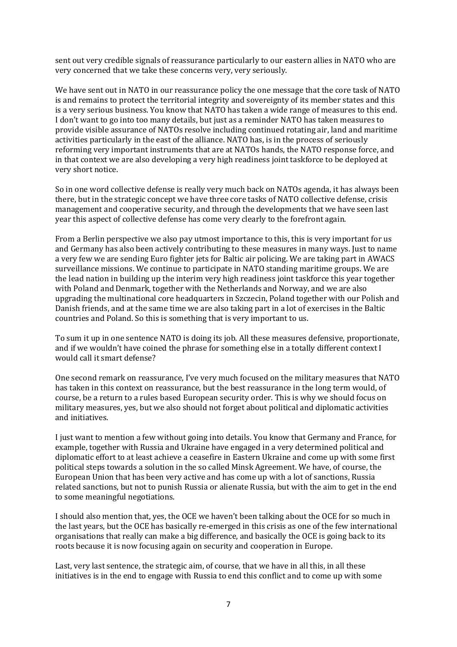sent out very credible signals of reassurance particularly to our eastern allies in NATO who are very concerned that we take these concerns very, very seriously.

We have sent out in NATO in our reassurance policy the one message that the core task of NATO is and remains to protect the territorial integrity and sovereignty of its member states and this is a very serious business. You know that NATO has taken a wide range of measures to this end. I don't want to go into too many details, but just as a reminder NATO has taken measures to provide visible assurance of NATOs resolve including continued rotating air, land and maritime activities particularly in the east of the alliance. NATO has, is in the process of seriously reforming very important instruments that are at NATOs hands, the NATO response force, and in that context we are also developing a very high readiness joint taskforce to be deployed at very short notice.

So in one word collective defense is really very much back on NATOs agenda, it has always been there, but in the strategic concept we have three core tasks of NATO collective defense, crisis management and cooperative security, and through the developments that we have seen last year this aspect of collective defense has come very clearly to the forefront again.

From a Berlin perspective we also pay utmost importance to this, this is very important for us and Germany has also been actively contributing to these measures in many ways. Just to name a very few we are sending Euro fighter jets for Baltic air policing. We are taking part in AWACS surveillance missions. We continue to participate in NATO standing maritime groups. We are the lead nation in building up the interim very high readiness joint taskforce this year together with Poland and Denmark, together with the Netherlands and Norway, and we are also upgrading the multinational core headquarters in Szczecin, Poland together with our Polish and Danish friends, and at the same time we are also taking part in a lot of exercises in the Baltic countries and Poland. So this is something that is very important to us.

To sum it up in one sentence NATO is doing its job. All these measures defensive, proportionate, and if we wouldn't have coined the phrase for something else in a totally different context I would call it smart defense?

One second remark on reassurance, I've very much focused on the military measures that NATO has taken in this context on reassurance, but the best reassurance in the long term would, of course, be a return to a rules based European security order. This is why we should focus on military measures, yes, but we also should not forget about political and diplomatic activities and initiatives.

I just want to mention a few without going into details. You know that Germany and France, for example, together with Russia and Ukraine have engaged in a very determined political and diplomatic effort to at least achieve a ceasefire in Eastern Ukraine and come up with some first political steps towards a solution in the so called Minsk Agreement. We have, of course, the European Union that has been very active and has come up with a lot of sanctions, Russia related sanctions, but not to punish Russia or alienate Russia, but with the aim to get in the end to some meaningful negotiations.

I should also mention that, yes, the OCE we haven't been talking about the OCE for so much in the last years, but the OCE has basically re-emerged in this crisis as one of the few international organisations that really can make a big difference, and basically the OCE is going back to its roots because it is now focusing again on security and cooperation in Europe.

Last, very last sentence, the strategic aim, of course, that we have in all this, in all these initiatives is in the end to engage with Russia to end this conflict and to come up with some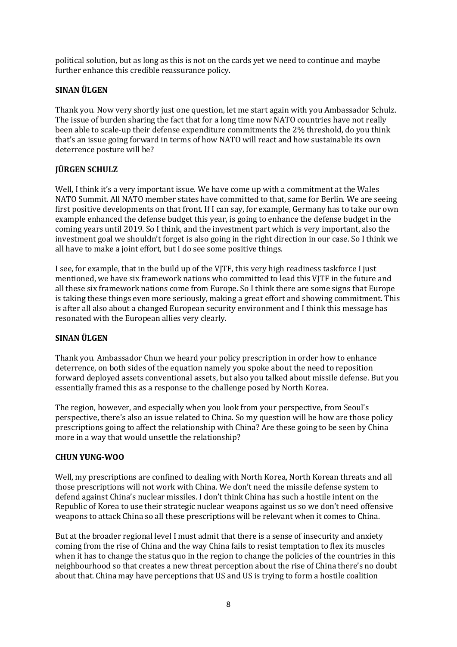political solution, but as long as this is not on the cards yet we need to continue and maybe further enhance this credible reassurance policy.

# **SINAN ÜLGEN**

Thank you. Now very shortly just one question, let me start again with you Ambassador Schulz. The issue of burden sharing the fact that for a long time now NATO countries have not really been able to scale-up their defense expenditure commitments the 2% threshold, do you think that's an issue going forward in terms of how NATO will react and how sustainable its own deterrence posture will be?

# **JÜRGEN SCHULZ**

Well, I think it's a very important issue. We have come up with a commitment at the Wales NATO Summit. All NATO member states have committed to that, same for Berlin. We are seeing first positive developments on that front. If I can say, for example, Germany has to take our own example enhanced the defense budget this year, is going to enhance the defense budget in the coming years until 2019. So I think, and the investment part which is very important, also the investment goal we shouldn't forget is also going in the right direction in our case. So I think we all have to make a joint effort, but I do see some positive things.

I see, for example, that in the build up of the VJTF, this very high readiness taskforce I just mentioned, we have six framework nations who committed to lead this VJTF in the future and all these six framework nations come from Europe. So I think there are some signs that Europe is taking these things even more seriously, making a great effort and showing commitment. This is after all also about a changed European security environment and I think this message has resonated with the European allies very clearly.

## **SINAN ÜLGEN**

Thank you. Ambassador Chun we heard your policy prescription in order how to enhance deterrence, on both sides of the equation namely you spoke about the need to reposition forward deployed assets conventional assets, but also you talked about missile defense. But you essentially framed this as a response to the challenge posed by North Korea.

The region, however, and especially when you look from your perspective, from Seoul's perspective, there's also an issue related to China. So my question will be how are those policy prescriptions going to affect the relationship with China? Are these going to be seen by China more in a way that would unsettle the relationship?

## **CHUN YUNG-WOO**

Well, my prescriptions are confined to dealing with North Korea, North Korean threats and all those prescriptions will not work with China. We don't need the missile defense system to defend against China's nuclear missiles. I don't think China has such a hostile intent on the Republic of Korea to use their strategic nuclear weapons against us so we don't need offensive weapons to attack China so all these prescriptions will be relevant when it comes to China.

But at the broader regional level I must admit that there is a sense of insecurity and anxiety coming from the rise of China and the way China fails to resist temptation to flex its muscles when it has to change the status quo in the region to change the policies of the countries in this neighbourhood so that creates a new threat perception about the rise of China there's no doubt about that. China may have perceptions that US and US is trying to form a hostile coalition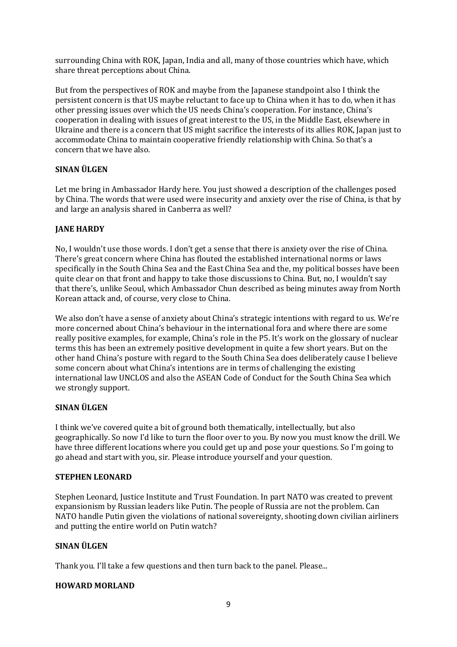surrounding China with ROK, Japan, India and all, many of those countries which have, which share threat perceptions about China.

But from the perspectives of ROK and maybe from the Japanese standpoint also I think the persistent concern is that US maybe reluctant to face up to China when it has to do, when it has other pressing issues over which the US needs China's cooperation. For instance, China's cooperation in dealing with issues of great interest to the US, in the Middle East, elsewhere in Ukraine and there is a concern that US might sacrifice the interests of its allies ROK, Japan just to accommodate China to maintain cooperative friendly relationship with China. So that's a concern that we have also.

# **SINAN ÜLGEN**

Let me bring in Ambassador Hardy here. You just showed a description of the challenges posed by China. The words that were used were insecurity and anxiety over the rise of China, is that by and large an analysis shared in Canberra as well?

# **JANE HARDY**

No, I wouldn't use those words. I don't get a sense that there is anxiety over the rise of China. There's great concern where China has flouted the established international norms or laws specifically in the South China Sea and the East China Sea and the, my political bosses have been quite clear on that front and happy to take those discussions to China. But, no, I wouldn't say that there's, unlike Seoul, which Ambassador Chun described as being minutes away from North Korean attack and, of course, very close to China.

We also don't have a sense of anxiety about China's strategic intentions with regard to us. We're more concerned about China's behaviour in the international fora and where there are some really positive examples, for example, China's role in the P5. It's work on the glossary of nuclear terms this has been an extremely positive development in quite a few short years. But on the other hand China's posture with regard to the South China Sea does deliberately cause I believe some concern about what China's intentions are in terms of challenging the existing international law UNCLOS and also the ASEAN Code of Conduct for the South China Sea which we strongly support.

## **SINAN ÜLGEN**

I think we've covered quite a bit of ground both thematically, intellectually, but also geographically. So now I'd like to turn the floor over to you. By now you must know the drill. We have three different locations where you could get up and pose your questions. So I'm going to go ahead and start with you, sir. Please introduce yourself and your question.

## **STEPHEN LEONARD**

Stephen Leonard, Justice Institute and Trust Foundation. In part NATO was created to prevent expansionism by Russian leaders like Putin. The people of Russia are not the problem. Can NATO handle Putin given the violations of national sovereignty, shooting down civilian airliners and putting the entire world on Putin watch?

## **SINAN ÜLGEN**

Thank you. I'll take a few questions and then turn back to the panel. Please...

## **HOWARD MORLAND**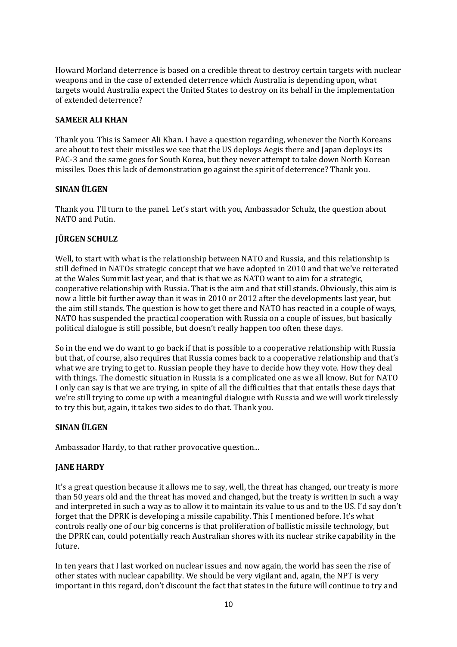Howard Morland deterrence is based on a credible threat to destroy certain targets with nuclear weapons and in the case of extended deterrence which Australia is depending upon, what targets would Australia expect the United States to destroy on its behalf in the implementation of extended deterrence?

## **SAMEER ALI KHAN**

Thank you. This is Sameer Ali Khan. I have a question regarding, whenever the North Koreans are about to test their missiles we see that the US deploys Aegis there and Japan deploys its PAC-3 and the same goes for South Korea, but they never attempt to take down North Korean missiles. Does this lack of demonstration go against the spirit of deterrence? Thank you.

## **SINAN ÜLGEN**

Thank you. I'll turn to the panel. Let's start with you, Ambassador Schulz, the question about NATO and Putin.

# **JÜRGEN SCHULZ**

Well, to start with what is the relationship between NATO and Russia, and this relationship is still defined in NATOs strategic concept that we have adopted in 2010 and that we've reiterated at the Wales Summit last year, and that is that we as NATO want to aim for a strategic, cooperative relationship with Russia. That is the aim and that still stands. Obviously, this aim is now a little bit further away than it was in 2010 or 2012 after the developments last year, but the aim still stands. The question is how to get there and NATO has reacted in a couple of ways, NATO has suspended the practical cooperation with Russia on a couple of issues, but basically political dialogue is still possible, but doesn't really happen too often these days.

So in the end we do want to go back if that is possible to a cooperative relationship with Russia but that, of course, also requires that Russia comes back to a cooperative relationship and that's what we are trying to get to. Russian people they have to decide how they vote. How they deal with things. The domestic situation in Russia is a complicated one as we all know. But for NATO I only can say is that we are trying, in spite of all the difficulties that that entails these days that we're still trying to come up with a meaningful dialogue with Russia and we will work tirelessly to try this but, again, it takes two sides to do that. Thank you.

## **SINAN ÜLGEN**

Ambassador Hardy, to that rather provocative question...

## **JANE HARDY**

It's a great question because it allows me to say, well, the threat has changed, our treaty is more than 50 years old and the threat has moved and changed, but the treaty is written in such a way and interpreted in such a way as to allow it to maintain its value to us and to the US. I'd say don't forget that the DPRK is developing a missile capability. This I mentioned before. It's what controls really one of our big concerns is that proliferation of ballistic missile technology, but the DPRK can, could potentially reach Australian shores with its nuclear strike capability in the future.

In ten years that I last worked on nuclear issues and now again, the world has seen the rise of other states with nuclear capability. We should be very vigilant and, again, the NPT is very important in this regard, don't discount the fact that states in the future will continue to try and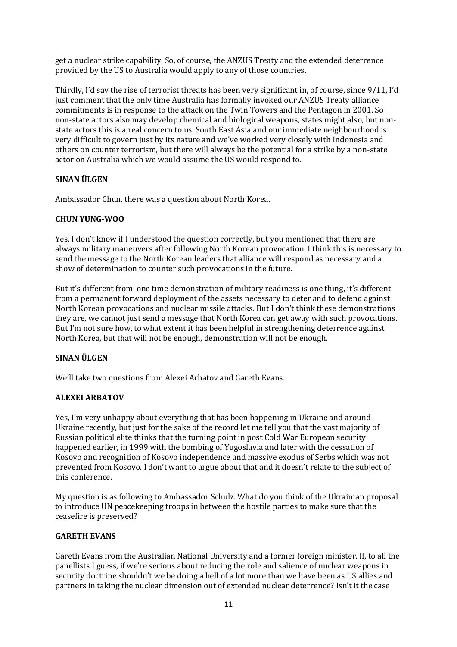get a nuclear strike capability. So, of course, the ANZUS Treaty and the extended deterrence provided by the US to Australia would apply to any of those countries.

Thirdly, I'd say the rise of terrorist threats has been very significant in, of course, since 9/11, I'd just comment that the only time Australia has formally invoked our ANZUS Treaty alliance commitments is in response to the attack on the Twin Towers and the Pentagon in 2001. So non-state actors also may develop chemical and biological weapons, states might also, but nonstate actors this is a real concern to us. South East Asia and our immediate neighbourhood is very difficult to govern just by its nature and we've worked very closely with Indonesia and others on counter terrorism, but there will always be the potential for a strike by a non-state actor on Australia which we would assume the US would respond to.

#### **SINAN ÜLGEN**

Ambassador Chun, there was a question about North Korea.

#### **CHUN YUNG-WOO**

Yes, I don't know if I understood the question correctly, but you mentioned that there are always military maneuvers after following North Korean provocation. I think this is necessary to send the message to the North Korean leaders that alliance will respond as necessary and a show of determination to counter such provocations in the future.

But it's different from, one time demonstration of military readiness is one thing, it's different from a permanent forward deployment of the assets necessary to deter and to defend against North Korean provocations and nuclear missile attacks. But I don't think these demonstrations they are, we cannot just send a message that North Korea can get away with such provocations. But I'm not sure how, to what extent it has been helpful in strengthening deterrence against North Korea, but that will not be enough, demonstration will not be enough.

## **SINAN ÜLGEN**

We'll take two questions from Alexei Arbatov and Gareth Evans.

## **ALEXEI ARBATOV**

Yes, I'm very unhappy about everything that has been happening in Ukraine and around Ukraine recently, but just for the sake of the record let me tell you that the vast majority of Russian political elite thinks that the turning point in post Cold War European security happened earlier, in 1999 with the bombing of Yugoslavia and later with the cessation of Kosovo and recognition of Kosovo independence and massive exodus of Serbs which was not prevented from Kosovo. I don't want to argue about that and it doesn't relate to the subject of this conference.

My question is as following to Ambassador Schulz. What do you think of the Ukrainian proposal to introduce UN peacekeeping troops in between the hostile parties to make sure that the ceasefire is preserved?

## **GARETH EVANS**

Gareth Evans from the Australian National University and a former foreign minister. If, to all the panellists I guess, if we're serious about reducing the role and salience of nuclear weapons in security doctrine shouldn't we be doing a hell of a lot more than we have been as US allies and partners in taking the nuclear dimension out of extended nuclear deterrence? Isn't it the case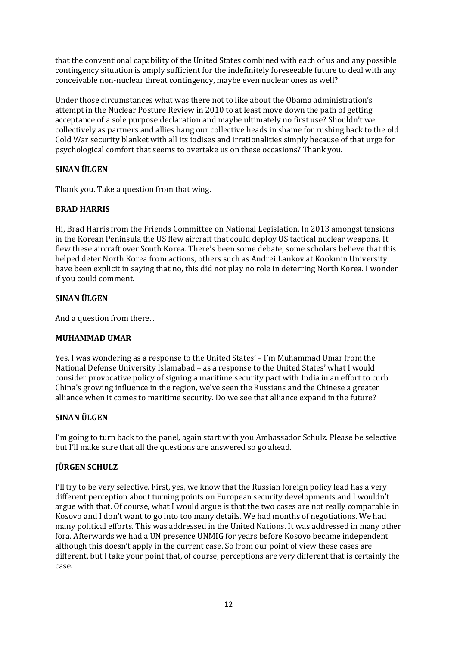that the conventional capability of the United States combined with each of us and any possible contingency situation is amply sufficient for the indefinitely foreseeable future to deal with any conceivable non-nuclear threat contingency, maybe even nuclear ones as well?

Under those circumstances what was there not to like about the Obama administration's attempt in the Nuclear Posture Review in 2010 to at least move down the path of getting acceptance of a sole purpose declaration and maybe ultimately no first use? Shouldn't we collectively as partners and allies hang our collective heads in shame for rushing back to the old Cold War security blanket with all its iodises and irrationalities simply because of that urge for psychological comfort that seems to overtake us on these occasions? Thank you.

# **SINAN ÜLGEN**

Thank you. Take a question from that wing.

# **BRAD HARRIS**

Hi, Brad Harris from the Friends Committee on National Legislation. In 2013 amongst tensions in the Korean Peninsula the US flew aircraft that could deploy US tactical nuclear weapons. It flew these aircraft over South Korea. There's been some debate, some scholars believe that this helped deter North Korea from actions, others such as Andrei Lankov at Kookmin University have been explicit in saying that no, this did not play no role in deterring North Korea. I wonder if you could comment.

# **SINAN ÜLGEN**

And a question from there...

## **MUHAMMAD UMAR**

Yes, I was wondering as a response to the United States' – I'm Muhammad Umar from the National Defense University Islamabad – as a response to the United States' what I would consider provocative policy of signing a maritime security pact with India in an effort to curb China's growing influence in the region, we've seen the Russians and the Chinese a greater alliance when it comes to maritime security. Do we see that alliance expand in the future?

# **SINAN ÜLGEN**

I'm going to turn back to the panel, again start with you Ambassador Schulz. Please be selective but I'll make sure that all the questions are answered so go ahead.

## **JÜRGEN SCHULZ**

I'll try to be very selective. First, yes, we know that the Russian foreign policy lead has a very different perception about turning points on European security developments and I wouldn't argue with that. Of course, what I would argue is that the two cases are not really comparable in Kosovo and I don't want to go into too many details. We had months of negotiations. We had many political efforts. This was addressed in the United Nations. It was addressed in many other fora. Afterwards we had a UN presence UNMIG for years before Kosovo became independent although this doesn't apply in the current case. So from our point of view these cases are different, but I take your point that, of course, perceptions are very different that is certainly the case.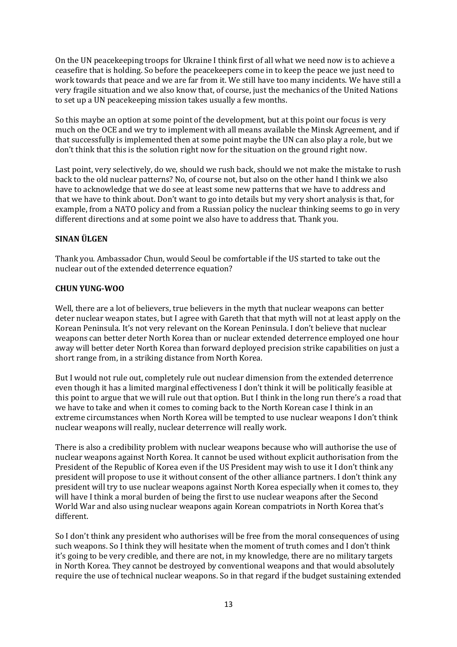On the UN peacekeeping troops for Ukraine I think first of all what we need now is to achieve a ceasefire that is holding. So before the peacekeepers come in to keep the peace we just need to work towards that peace and we are far from it. We still have too many incidents. We have still a very fragile situation and we also know that, of course, just the mechanics of the United Nations to set up a UN peacekeeping mission takes usually a few months.

So this maybe an option at some point of the development, but at this point our focus is very much on the OCE and we try to implement with all means available the Minsk Agreement, and if that successfully is implemented then at some point maybe the UN can also play a role, but we don't think that this is the solution right now for the situation on the ground right now.

Last point, very selectively, do we, should we rush back, should we not make the mistake to rush back to the old nuclear patterns? No, of course not, but also on the other hand I think we also have to acknowledge that we do see at least some new patterns that we have to address and that we have to think about. Don't want to go into details but my very short analysis is that, for example, from a NATO policy and from a Russian policy the nuclear thinking seems to go in very different directions and at some point we also have to address that. Thank you.

# **SINAN ÜLGEN**

Thank you. Ambassador Chun, would Seoul be comfortable if the US started to take out the nuclear out of the extended deterrence equation?

## **CHUN YUNG-WOO**

Well, there are a lot of believers, true believers in the myth that nuclear weapons can better deter nuclear weapon states, but I agree with Gareth that that myth will not at least apply on the Korean Peninsula. It's not very relevant on the Korean Peninsula. I don't believe that nuclear weapons can better deter North Korea than or nuclear extended deterrence employed one hour away will better deter North Korea than forward deployed precision strike capabilities on just a short range from, in a striking distance from North Korea.

But I would not rule out, completely rule out nuclear dimension from the extended deterrence even though it has a limited marginal effectiveness I don't think it will be politically feasible at this point to argue that we will rule out that option. But I think in the long run there's a road that we have to take and when it comes to coming back to the North Korean case I think in an extreme circumstances when North Korea will be tempted to use nuclear weapons I don't think nuclear weapons will really, nuclear deterrence will really work.

There is also a credibility problem with nuclear weapons because who will authorise the use of nuclear weapons against North Korea. It cannot be used without explicit authorisation from the President of the Republic of Korea even if the US President may wish to use it I don't think any president will propose to use it without consent of the other alliance partners. I don't think any president will try to use nuclear weapons against North Korea especially when it comes to, they will have I think a moral burden of being the first to use nuclear weapons after the Second World War and also using nuclear weapons again Korean compatriots in North Korea that's different.

So I don't think any president who authorises will be free from the moral consequences of using such weapons. So I think they will hesitate when the moment of truth comes and I don't think it's going to be very credible, and there are not, in my knowledge, there are no military targets in North Korea. They cannot be destroyed by conventional weapons and that would absolutely require the use of technical nuclear weapons. So in that regard if the budget sustaining extended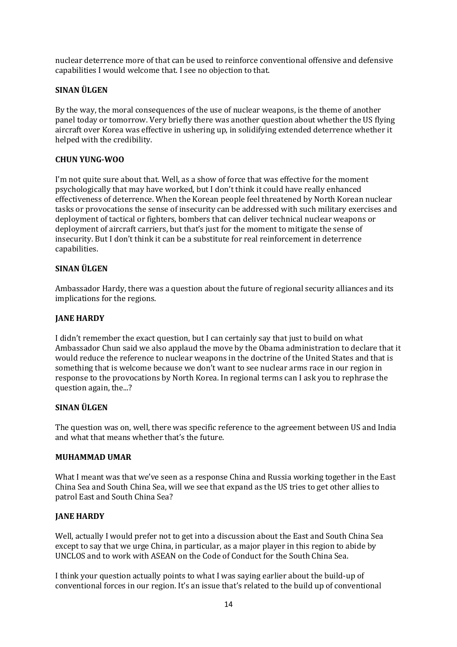nuclear deterrence more of that can be used to reinforce conventional offensive and defensive capabilities I would welcome that. I see no objection to that.

## **SINAN ÜLGEN**

By the way, the moral consequences of the use of nuclear weapons, is the theme of another panel today or tomorrow. Very briefly there was another question about whether the US flying aircraft over Korea was effective in ushering up, in solidifying extended deterrence whether it helped with the credibility.

#### **CHUN YUNG-WOO**

I'm not quite sure about that. Well, as a show of force that was effective for the moment psychologically that may have worked, but I don't think it could have really enhanced effectiveness of deterrence. When the Korean people feel threatened by North Korean nuclear tasks or provocations the sense of insecurity can be addressed with such military exercises and deployment of tactical or fighters, bombers that can deliver technical nuclear weapons or deployment of aircraft carriers, but that's just for the moment to mitigate the sense of insecurity. But I don't think it can be a substitute for real reinforcement in deterrence capabilities.

#### **SINAN ÜLGEN**

Ambassador Hardy, there was a question about the future of regional security alliances and its implications for the regions.

#### **JANE HARDY**

I didn't remember the exact question, but I can certainly say that just to build on what Ambassador Chun said we also applaud the move by the Obama administration to declare that it would reduce the reference to nuclear weapons in the doctrine of the United States and that is something that is welcome because we don't want to see nuclear arms race in our region in response to the provocations by North Korea. In regional terms can I ask you to rephrase the question again, the...?

#### **SINAN ÜLGEN**

The question was on, well, there was specific reference to the agreement between US and India and what that means whether that's the future.

#### **MUHAMMAD UMAR**

What I meant was that we've seen as a response China and Russia working together in the East China Sea and South China Sea, will we see that expand as the US tries to get other allies to patrol East and South China Sea?

#### **JANE HARDY**

Well, actually I would prefer not to get into a discussion about the East and South China Sea except to say that we urge China, in particular, as a major player in this region to abide by UNCLOS and to work with ASEAN on the Code of Conduct for the South China Sea.

I think your question actually points to what I was saying earlier about the build-up of conventional forces in our region. It's an issue that's related to the build up of conventional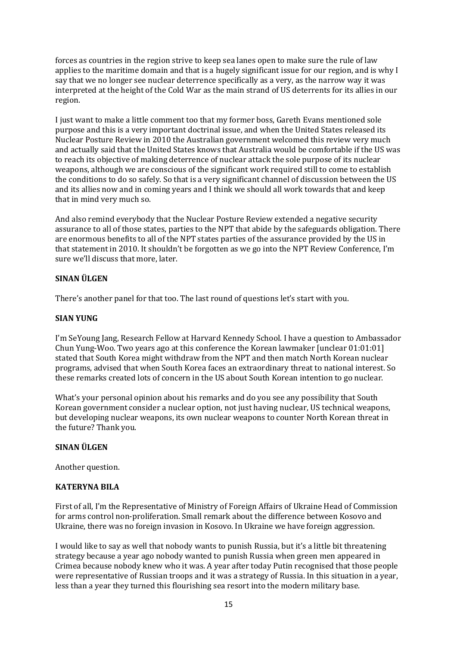forces as countries in the region strive to keep sea lanes open to make sure the rule of law applies to the maritime domain and that is a hugely significant issue for our region, and is why I say that we no longer see nuclear deterrence specifically as a very, as the narrow way it was interpreted at the height of the Cold War as the main strand of US deterrents for its allies in our region.

I just want to make a little comment too that my former boss, Gareth Evans mentioned sole purpose and this is a very important doctrinal issue, and when the United States released its Nuclear Posture Review in 2010 the Australian government welcomed this review very much and actually said that the United States knows that Australia would be comfortable if the US was to reach its objective of making deterrence of nuclear attack the sole purpose of its nuclear weapons, although we are conscious of the significant work required still to come to establish the conditions to do so safely. So that is a very significant channel of discussion between the US and its allies now and in coming years and I think we should all work towards that and keep that in mind very much so.

And also remind everybody that the Nuclear Posture Review extended a negative security assurance to all of those states, parties to the NPT that abide by the safeguards obligation. There are enormous benefits to all of the NPT states parties of the assurance provided by the US in that statement in 2010. It shouldn't be forgotten as we go into the NPT Review Conference, I'm sure we'll discuss that more, later.

## **SINAN ÜLGEN**

There's another panel for that too. The last round of questions let's start with you.

#### **SIAN YUNG**

I'm SeYoung Jang, Research Fellow at Harvard Kennedy School. I have a question to Ambassador Chun Yung-Woo. Two years ago at this conference the Korean lawmaker [unclear 01:01:01] stated that South Korea might withdraw from the NPT and then match North Korean nuclear programs, advised that when South Korea faces an extraordinary threat to national interest. So these remarks created lots of concern in the US about South Korean intention to go nuclear.

What's your personal opinion about his remarks and do you see any possibility that South Korean government consider a nuclear option, not just having nuclear, US technical weapons, but developing nuclear weapons, its own nuclear weapons to counter North Korean threat in the future? Thank you.

#### **SINAN ÜLGEN**

Another question.

## **KATERYNA BILA**

First of all, I'm the Representative of Ministry of Foreign Affairs of Ukraine Head of Commission for arms control non-proliferation. Small remark about the difference between Kosovo and Ukraine, there was no foreign invasion in Kosovo. In Ukraine we have foreign aggression.

I would like to say as well that nobody wants to punish Russia, but it's a little bit threatening strategy because a year ago nobody wanted to punish Russia when green men appeared in Crimea because nobody knew who it was. A year after today Putin recognised that those people were representative of Russian troops and it was a strategy of Russia. In this situation in a year, less than a year they turned this flourishing sea resort into the modern military base.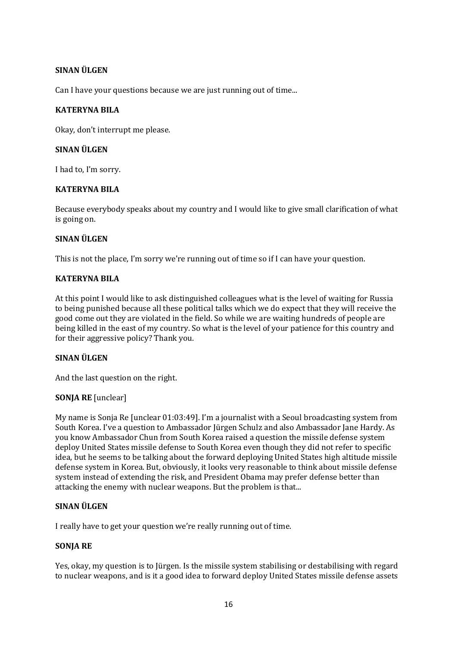# **SINAN ÜLGEN**

Can I have your questions because we are just running out of time...

#### **KATERYNA BILA**

Okay, don't interrupt me please.

#### **SINAN ÜLGEN**

I had to, I'm sorry.

## **KATERYNA BILA**

Because everybody speaks about my country and I would like to give small clarification of what is going on.

#### **SINAN ÜLGEN**

This is not the place, I'm sorry we're running out of time so if I can have your question.

#### **KATERYNA BILA**

At this point I would like to ask distinguished colleagues what is the level of waiting for Russia to being punished because all these political talks which we do expect that they will receive the good come out they are violated in the field. So while we are waiting hundreds of people are being killed in the east of my country. So what is the level of your patience for this country and for their aggressive policy? Thank you.

## **SINAN ÜLGEN**

And the last question on the right.

## **SONJA RE** [unclear]

My name is Sonja Re [unclear 01:03:49]. I'm a journalist with a Seoul broadcasting system from South Korea. I've a question to Ambassador Jürgen Schulz and also Ambassador Jane Hardy. As you know Ambassador Chun from South Korea raised a question the missile defense system deploy United States missile defense to South Korea even though they did not refer to specific idea, but he seems to be talking about the forward deploying United States high altitude missile defense system in Korea. But, obviously, it looks very reasonable to think about missile defense system instead of extending the risk, and President Obama may prefer defense better than attacking the enemy with nuclear weapons. But the problem is that...

## **SINAN ÜLGEN**

I really have to get your question we're really running out of time.

## **SONJA RE**

Yes, okay, my question is to Jürgen. Is the missile system stabilising or destabilising with regard to nuclear weapons, and is it a good idea to forward deploy United States missile defense assets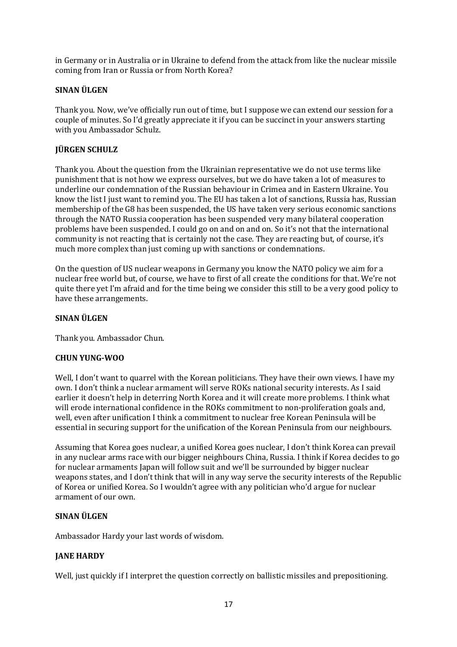in Germany or in Australia or in Ukraine to defend from the attack from like the nuclear missile coming from Iran or Russia or from North Korea?

## **SINAN ÜLGEN**

Thank you. Now, we've officially run out of time, but I suppose we can extend our session for a couple of minutes. So I'd greatly appreciate it if you can be succinct in your answers starting with you Ambassador Schulz.

## **JÜRGEN SCHULZ**

Thank you. About the question from the Ukrainian representative we do not use terms like punishment that is not how we express ourselves, but we do have taken a lot of measures to underline our condemnation of the Russian behaviour in Crimea and in Eastern Ukraine. You know the list I just want to remind you. The EU has taken a lot of sanctions, Russia has, Russian membership of the G8 has been suspended, the US have taken very serious economic sanctions through the NATO Russia cooperation has been suspended very many bilateral cooperation problems have been suspended. I could go on and on and on. So it's not that the international community is not reacting that is certainly not the case. They are reacting but, of course, it's much more complex than just coming up with sanctions or condemnations.

On the question of US nuclear weapons in Germany you know the NATO policy we aim for a nuclear free world but, of course, we have to first of all create the conditions for that. We're not quite there yet I'm afraid and for the time being we consider this still to be a very good policy to have these arrangements.

#### **SINAN ÜLGEN**

Thank you. Ambassador Chun.

#### **CHUN YUNG-WOO**

Well, I don't want to quarrel with the Korean politicians. They have their own views. I have my own. I don't think a nuclear armament will serve ROKs national security interests. As I said earlier it doesn't help in deterring North Korea and it will create more problems. I think what will erode international confidence in the ROKs commitment to non-proliferation goals and, well, even after unification I think a commitment to nuclear free Korean Peninsula will be essential in securing support for the unification of the Korean Peninsula from our neighbours.

Assuming that Korea goes nuclear, a unified Korea goes nuclear, I don't think Korea can prevail in any nuclear arms race with our bigger neighbours China, Russia. I think if Korea decides to go for nuclear armaments Japan will follow suit and we'll be surrounded by bigger nuclear weapons states, and I don't think that will in any way serve the security interests of the Republic of Korea or unified Korea. So I wouldn't agree with any politician who'd argue for nuclear armament of our own.

#### **SINAN ÜLGEN**

Ambassador Hardy your last words of wisdom.

## **JANE HARDY**

Well, just quickly if I interpret the question correctly on ballistic missiles and prepositioning.